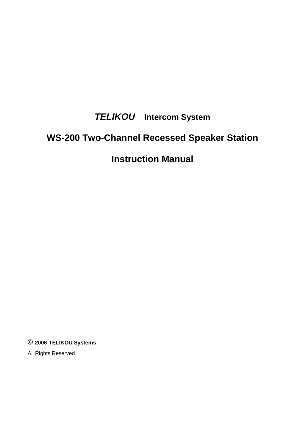## *TELIKOU* **Intercom System**

# **WS-200 Two-Channel Recessed Speaker Station**

## **Instruction Manual**

**© 2006 TELIKOU Systems**

All Rights Reserved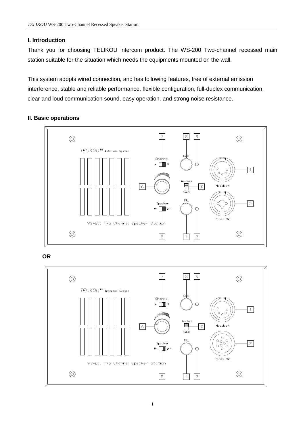## **I. Introduction**

Thank you for choosing TELIKOU intercom product. The WS-200 Two-channel recessed main station suitable for the situation which needs the equipments mounted on the wall.

This system adopts wired connection, and has following features, free of external emission interference, stable and reliable performance, flexible configuration, full-duplex communication, clear and loud communication sound, easy operation, and strong noise resistance.

## **II. Basic operations**



**OR**

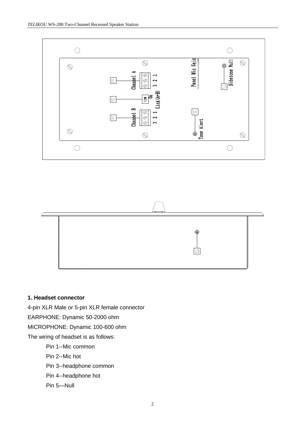



## **1. Headset connector**

4-pin XLR Male or 5-pin XLR female connector EARPHONE: Dynamic 50-2000 ohm MICROPHONE: Dynamic 100-600 ohm The wiring of headset is as follows:

Pin 1--Mic common

Pin 2--Mic hot

Pin 3--headphone common

- Pin 4--headphone hot
- Pin 5—Null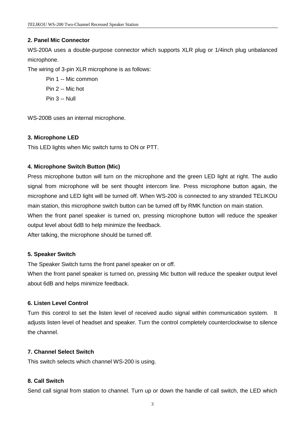## **2. Panel Mic Connector**

WS-200A uses a double-purpose connector which supports XLR plug or 1/4inch plug unbalanced microphone.

The wiring of 3-pin XLR microphone is as follows:

- Pin 1 -- Mic common
- Pin 2 -- Mic hot
- Pin 3 -- Null

WS-200B uses an internal microphone.

## **3. Microphone LED**

This LED lights when Mic switch turns to ON or PTT.

## **4. Microphone Switch Button (Mic)**

Press microphone button will turn on the microphone and the green LED light at right. The audio signal from microphone will be sent thought intercom line. Press microphone button again, the microphone and LED light will be turned off. When WS-200 is connected to any stranded TELIKOU main station, this microphone switch button can be turned off by RMK function on main station. When the front panel speaker is turned on, pressing microphone button will reduce the speaker output level about 6dB to help minimize the feedback.

After talking, the microphone should be turned off.

#### **5. Speaker Switch**

The Speaker Switch turns the front panel speaker on or off.

When the front panel speaker is turned on, pressing Mic button will reduce the speaker output level about 6dB and helps minimize feedback.

#### **6. Listen Level Control**

Turn this control to set the listen level of received audio signal within communication system. It adjusts listen level of headset and speaker. Turn the control completely counterclockwise to silence the channel.

#### **7. Channel Select Switch**

This switch selects which channel WS-200 is using.

## **8. Call Switch**

Send call signal from station to channel. Turn up or down the handle of call switch, the LED which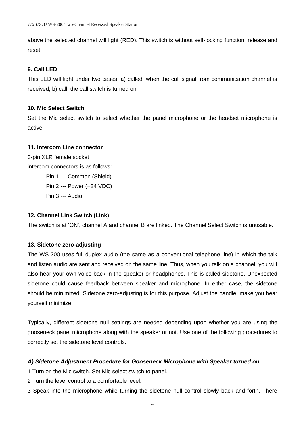above the selected channel will light (RED). This switch is without self-locking function, release and reset.

## **9. Call LED**

This LED will light under two cases: a) called: when the call signal from communication channel is received; b) call: the call switch is turned on.

#### **10. Mic Select Switch**

Set the Mic select switch to select whether the panel microphone or the headset microphone is active.

#### **11. Intercom Line connector**

3-pin XLR female socket intercom connectors is as follows: Pin 1 --- Common (Shield) Pin 2 --- Power (+24 VDC) Pin 3 --- Audio

#### **12. Channel Link Switch (Link)**

The switch is at 'ON', channel A and channel B are linked. The Channel Select Switch is unusable.

#### **13. Sidetone zero-adjusting**

The WS-200 uses full-duplex audio (the same as a conventional telephone line) in which the talk and listen audio are sent and received on the same line. Thus, when you talk on a channel, you will also hear your own voice back in the speaker or headphones. This is called sidetone. Unexpected sidetone could cause feedback between speaker and microphone. In either case, the sidetone should be minimized. Sidetone zero-adjusting is for this purpose. Adjust the handle, make you hear yourself minimize.

Typically, different sidetone null settings are needed depending upon whether you are using the gooseneck panel microphone along with the speaker or not. Use one of the following procedures to correctly set the sidetone level controls.

#### *A) Sidetone Adjustment Procedure for Gooseneck Microphone with Speaker turned on:*

1 Turn on the Mic switch. Set Mic select switch to panel.

2 Turn the level control to a comfortable level.

3 Speak into the microphone while turning the sidetone null control slowly back and forth. There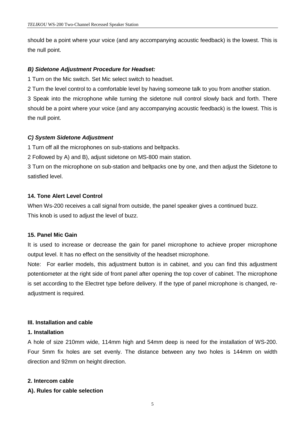should be a point where your voice (and any accompanying acoustic feedback) is the lowest. This is the null point.

#### *B) Sidetone Adjustment Procedure for Headset:*

1 Turn on the Mic switch. Set Mic select switch to headset.

2 Turn the level control to a comfortable level by having someone talk to you from another station.

3 Speak into the microphone while turning the sidetone null control slowly back and forth. There should be a point where your voice (and any accompanying acoustic feedback) is the lowest. This is the null point.

## *C) System Sidetone Adjustment*

1 Turn off all the microphones on sub-stations and beltpacks.

2 Followed by A) and B), adjust sidetone on MS-800 main station.

3 Turn on the microphone on sub-station and beltpacks one by one, and then adjust the Sidetone to satisfied level.

## **14. Tone Alert Level Control**

When Ws-200 receives a call signal from outside, the panel speaker gives a continued buzz. This knob is used to adjust the level of buzz.

#### **15. Panel Mic Gain**

It is used to increase or decrease the gain for panel microphone to achieve proper microphone output level. It has no effect on the sensitivity of the headset microphone.

Note: For earlier models, this adjustment button is in cabinet, and you can find this adjustment potentiometer at the right side of front panel after opening the top cover of cabinet. The microphone is set according to the Electret type before delivery. If the type of panel microphone is changed, readjustment is required.

#### **III. Installation and cable**

#### **1. Installation**

A hole of size 210mm wide, 114mm high and 54mm deep is need for the installation of WS-200. Four 5mm fix holes are set evenly. The distance between any two holes is 144mm on width direction and 92mm on height direction.

#### **2. Intercom cable**

#### **A). Rules for cable selection**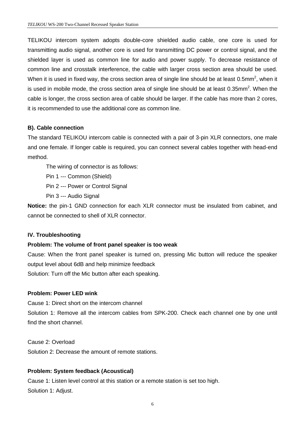TELIKOU intercom system adopts double-core shielded audio cable, one core is used for transmitting audio signal, another core is used for transmitting DC power or control signal, and the shielded layer is used as common line for audio and power supply. To decrease resistance of common line and crosstalk interference, the cable with larger cross section area should be used. When it is used in fixed way, the cross section area of single line should be at least 0.5mm<sup>2</sup>, when it is used in mobile mode, the cross section area of single line should be at least 0.35mm<sup>2</sup>. When the cable is longer, the cross section area of cable should be larger. If the cable has more than 2 cores, it is recommended to use the additional core as common line.

#### **B). Cable connection**

The standard TELIKOU intercom cable is connected with a pair of 3-pin XLR connectors, one male and one female. If longer cable is required, you can connect several cables together with head-end method.

The wiring of connector is as follows:

Pin 1 --- Common (Shield)

Pin 2 --- Power or Control Signal

Pin 3 --- Audio Signal

**Notice:** the pin-1 GND connection for each XLR connector must be insulated from cabinet, and cannot be connected to shell of XLR connector.

#### **IV. Troubleshooting**

#### **Problem: The volume of front panel speaker is too weak**

Cause: When the front panel speaker is turned on, pressing Mic button will reduce the speaker output level about 6dB and help minimize feedback Solution: Turn off the Mic button after each speaking.

#### **Problem: Power LED wink**

Cause 1: Direct short on the intercom channel Solution 1: Remove all the intercom cables from SPK-200. Check each channel one by one until find the short channel.

Cause 2: Overload Solution 2: Decrease the amount of remote stations.

#### **Problem: System feedback (Acoustical)**

Cause 1: Listen level control at this station or a remote station is set too high. Solution 1: Adjust.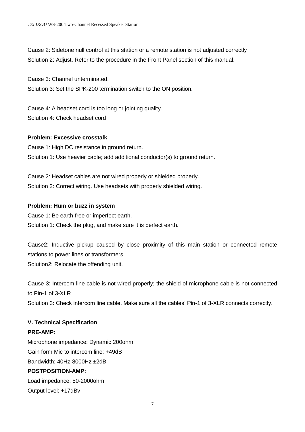Cause 2: Sidetone null control at this station or a remote station is not adjusted correctly Solution 2: Adjust. Refer to the procedure in the Front Panel section of this manual.

Cause 3: Channel unterminated.

Solution 3: Set the SPK-200 termination switch to the ON position.

Cause 4: A headset cord is too long or jointing quality. Solution 4: Check headset cord

#### **Problem: Excessive crosstalk**

Cause 1: High DC resistance in ground return. Solution 1: Use heavier cable; add additional conductor(s) to ground return.

Cause 2: Headset cables are not wired properly or shielded properly. Solution 2: Correct wiring. Use headsets with properly shielded wiring.

#### **Problem: Hum or buzz in system**

Cause 1: Be earth-free or imperfect earth. Solution 1: Check the plug, and make sure it is perfect earth.

Cause2: Inductive pickup caused by close proximity of this main station or connected remote stations to power lines or transformers. Solution2: Relocate the offending unit.

Cause 3: Intercom line cable is not wired properly; the shield of microphone cable is not connected to Pin-1 of 3-XLR

Solution 3: Check intercom line cable. Make sure all the cables' Pin-1 of 3-XLR connects correctly.

#### **V. Technical Specification**

#### **PRE-AMP:**

Microphone impedance: Dynamic 200ohm Gain form Mic to intercom line: +49dB Bandwidth: 40Hz-8000Hz ±2dB

## **POSTPOSITION-AMP:**

Load impedance: 50-2000ohm Output level: +17dBv